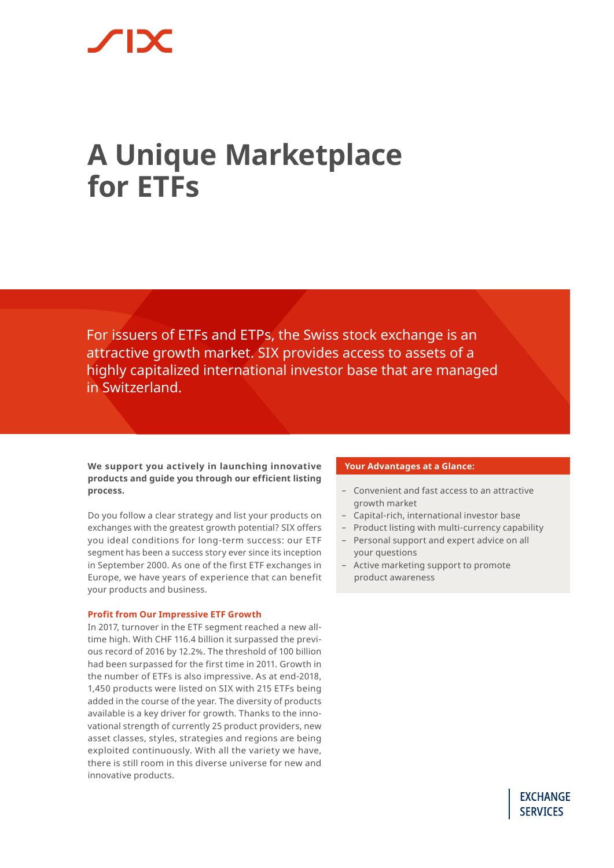# **A Unique Marketplace for ETFs**

For issuers of ETFs and ETPs, the Swiss stock exchange is an attractive growth market. SIX provides access to assets of a highly capitalized international investor base that are managed in Switzerland.

**We support you actively in launching innovative products and guide you through our efficient listing process.** 

Do you follow a clear strategy and list your products on exchanges with the greatest growth potential? SIX offers you ideal conditions for long-term success: our ETF segment has been a success story ever since its inception in September 2000. As one of the first ETF exchanges in Europe, we have years of experience that can benefit your products and business.

#### **Profit from Our Impressive ETF Growth**

In 2017, turnover in the ETF segment reached a new alltime high. With CHF 116.4 billion it surpassed the previous record of 2016 by 12.2%. The threshold of 100 billion had been surpassed for the first time in 2011. Growth in the number of ETFs is also impressive. As at end-2018, 1,450 products were listed on SIX with 215 ETFs being added in the course of the year. The diversity of products available is a key driver for growth. Thanks to the innovational strength of currently 25 product providers, new asset classes, styles, strategies and regions are being exploited continuously. With all the variety we have, there is still room in this diverse universe for new and innovative products.

#### **Your Advantages at a Glance:**

- Convenient and fast access to an attractive growth market
- Capital-rich, international investor base
- Product listing with multi-currency capability
- Personal support and expert advice on all your questions
- Active marketing support to promote product awareness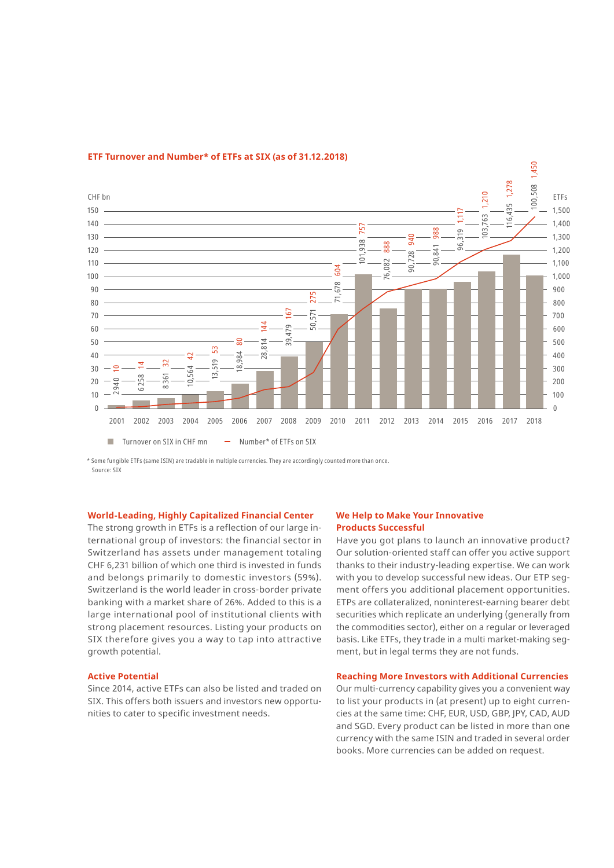

#### **ETF Turnover and Number\* of ETFs at SIX (as of 31.12.2018)**

\* Some fungible ETFs (same ISIN) are tradable in multiple currencies. They are accordingly counted more than once. Source: SIX

#### **World-Leading, Highly Capitalized Financial Center**

The strong growth in ETFs is a reflection of our large international group of investors: the financial sector in Switzerland has assets under management totaling CHF 6,231 billion of which one third is invested in funds and belongs primarily to domestic investors (59%). Switzerland is the world leader in cross-border private banking with a market share of 26%. Added to this is a large international pool of institutional clients with strong placement resources. Listing your products on SIX therefore gives you a way to tap into attractive growth potential.

#### **Active Potential**

Since 2014, active ETFs can also be listed and traded on SIX. This offers both issuers and investors new opportunities to cater to specific investment needs.

### **We Help to Make Your Innovative Products Successful**

Have you got plans to launch an innovative product? Our solution-oriented staff can offer you active support thanks to their industry-leading expertise. We can work with you to develop successful new ideas. Our ETP segment offers you additional placement opportunities. ETPs are collateralized, noninterest-earning bearer debt securities which replicate an underlying (generally from the commodities sector), either on a regular or leveraged basis. Like ETFs, they trade in a multi market-making segment, but in legal terms they are not funds.

#### **Reaching More Investors with Additional Currencies**

Our multi-currency capability gives you a convenient way to list your products in (at present) up to eight currencies at the same time: CHF, EUR, USD, GBP, JPY, CAD, AUD and SGD. Every product can be listed in more than one currency with the same ISIN and traded in several order books. More currencies can be added on request.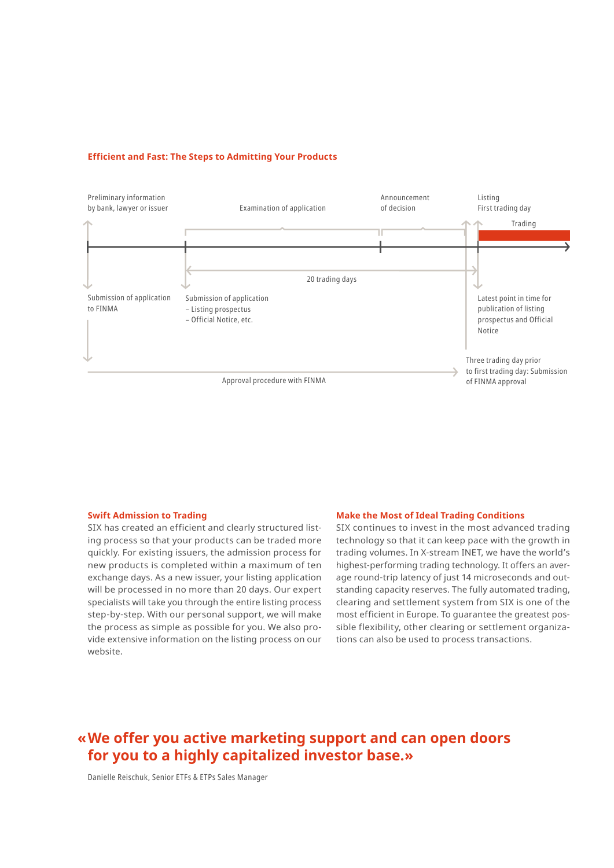#### **Efficient and Fast: The Steps to Admitting Your Products**



#### **Swift Admission to Trading**

SIX has created an efficient and clearly structured listing process so that your products can be traded more quickly. For existing issuers, the admission process for new products is completed within a maximum of ten exchange days. As a new issuer, your listing application will be processed in no more than 20 days. Our expert specialists will take you through the entire listing process step-by-step. With our personal support, we will make the process as simple as possible for you. We also provide extensive information on the listing process on our website.

#### **Make the Most of Ideal Trading Conditions**

SIX continues to invest in the most advanced trading technology so that it can keep pace with the growth in trading volumes. In X-stream INET, we have the world's highest-performing trading technology. It offers an average round-trip latency of just 14 microseconds and outstanding capacity reserves. The fully automated trading, clearing and settlement system from SIX is one of the most efficient in Europe. To guarantee the greatest possible flexibility, other clearing or settlement organizations can also be used to process transactions.

## **«We offer you active marketing support and can open doors for you to a highly capitalized investor base.»**

Danielle Reischuk, Senior ETFs & ETPs Sales Manager